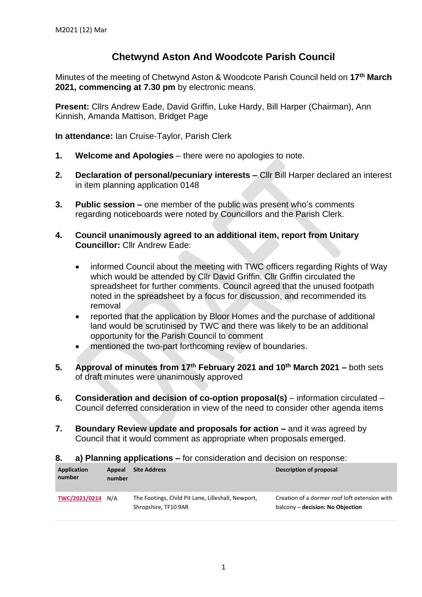## **Chetwynd Aston And Woodcote Parish Council**

Minutes of the meeting of Chetwynd Aston & Woodcote Parish Council held on **17th March 2021, commencing at 7.30 pm** by electronic means.

**Present:** Cllrs Andrew Eade, David Griffin, Luke Hardy, Bill Harper (Chairman), Ann Kinnish, Amanda Mattison, Bridget Page

**In attendance:** Ian Cruise-Taylor, Parish Clerk

- **1. Welcome and Apologies** there were no apologies to note.
- **2. Declaration of personal/pecuniary interests –** Cllr Bill Harper declared an interest in item planning application 0148
- **3. Public session –** one member of the public was present who's comments regarding noticeboards were noted by Councillors and the Parish Clerk.
- **4. Council unanimously agreed to an additional item, report from Unitary Councillor:** Cllr Andrew Eade:
	- informed Council about the meeting with TWC officers regarding Rights of Way which would be attended by Cllr David Griffin. Cllr Griffin circulated the spreadsheet for further comments. Council agreed that the unused footpath noted in the spreadsheet by a focus for discussion, and recommended its removal
	- reported that the application by Bloor Homes and the purchase of additional land would be scrutinised by TWC and there was likely to be an additional opportunity for the Parish Council to comment
	- mentioned the two-part forthcoming review of boundaries.
- **5. Approval of minutes from 17th February 2021 and 10th March 2021 –** both sets of draft minutes were unanimously approved
- **6. Consideration and decision of co-option proposal(s)** information circulated Council deferred consideration in view of the need to consider other agenda items
- **7. Boundary Review update and proposals for action –** and it was agreed by Council that it would comment as appropriate when proposals emerged.
- **8. a) Planning applications –** for consideration and decision on response:

| Application<br>number | Appeal<br>number | <b>Site Address</b>                                                        | Description of proposal                                                           |
|-----------------------|------------------|----------------------------------------------------------------------------|-----------------------------------------------------------------------------------|
| TWC/2021/0214 N/A     |                  | The Footings, Child Pit Lane, Lilleshall, Newport,<br>Shropshire, TF10 9AR | Creation of a dormer roof loft extension with<br>balcony – decision: No Objection |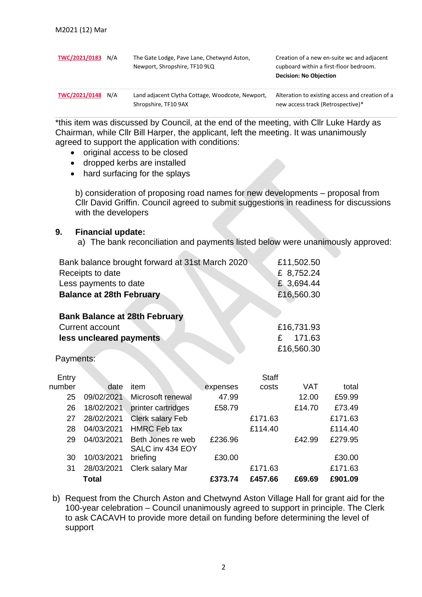| TWC/2021/0183 | N/A | The Gate Lodge, Pave Lane, Chetwynd Aston,<br>Newport, Shropshire, TF10 9LQ | Creation of a new en-suite wc and adjacent<br>cupboard within a first-floor bedroom.<br><b>Decision: No Objection</b> |
|---------------|-----|-----------------------------------------------------------------------------|-----------------------------------------------------------------------------------------------------------------------|
| TWC/2021/0148 | N/A | Land adjacent Clytha Cottage, Woodcote, Newport,<br>Shropshire, TF10 9AX    | Alteration to existing access and creation of a<br>new access track (Retrospective)*                                  |

\*this item was discussed by Council, at the end of the meeting, with Cllr Luke Hardy as Chairman, while Cllr Bill Harper, the applicant, left the meeting. It was unanimously agreed to support the application with conditions:

- original access to be closed
- dropped kerbs are installed
- hard surfacing for the splays

b) consideration of proposing road names for new developments – proposal from Cllr David Griffin. Council agreed to submit suggestions in readiness for discussions with the developers

## **9. Financial update:**

a) The bank reconciliation and payments listed below were unanimously approved:

| Bank balance brought forward at 31st March 2020 | £11,502.50  |  |  |
|-------------------------------------------------|-------------|--|--|
| Receipts to date                                | £ 8,752.24  |  |  |
| Less payments to date                           | £ 3,694.44  |  |  |
| <b>Balance at 28th February</b>                 | £16,560.30  |  |  |
|                                                 |             |  |  |
| <b>Bank Balance at 28th February</b>            |             |  |  |
| Current account                                 | £16,731.93  |  |  |
| less uncleared payments                         | 171.63<br>£ |  |  |
|                                                 | £16,560.30  |  |  |

**STATISTICS** 

Payments:

|        | <b>Total</b> |                              | £373.74  | £457.66      | £69.69     | £901.09 |
|--------|--------------|------------------------------|----------|--------------|------------|---------|
| 31     | 28/03/2021   | Clerk salary Mar             |          | £171.63      |            | £171.63 |
| 30     | 10/03/2021   | SALC inv 434 EOY<br>briefing | £30.00   |              |            | £30.00  |
| 29     | 04/03/2021   | Beth Jones re web            | £236.96  |              | £42.99     | £279.95 |
| 28     | 04/03/2021   | <b>HMRC</b> Feb tax          |          | £114.40      |            | £114.40 |
| 27     | 28/02/2021   | <b>Clerk salary Feb</b>      |          | £171.63      |            | £171.63 |
| 26     | 18/02/2021   | printer cartridges           | £58.79   |              | £14.70     | £73.49  |
| 25     | 09/02/2021   | Microsoft renewal            | 47.99    |              | 12.00      | £59.99  |
| number | date         | item                         | expenses | costs        | <b>VAT</b> | total   |
| Entry  |              |                              |          | <b>Staff</b> |            |         |

b) Request from the Church Aston and Chetwynd Aston Village Hall for grant aid for the 100-year celebration – Council unanimously agreed to support in principle. The Clerk to ask CACAVH to provide more detail on funding before determining the level of support